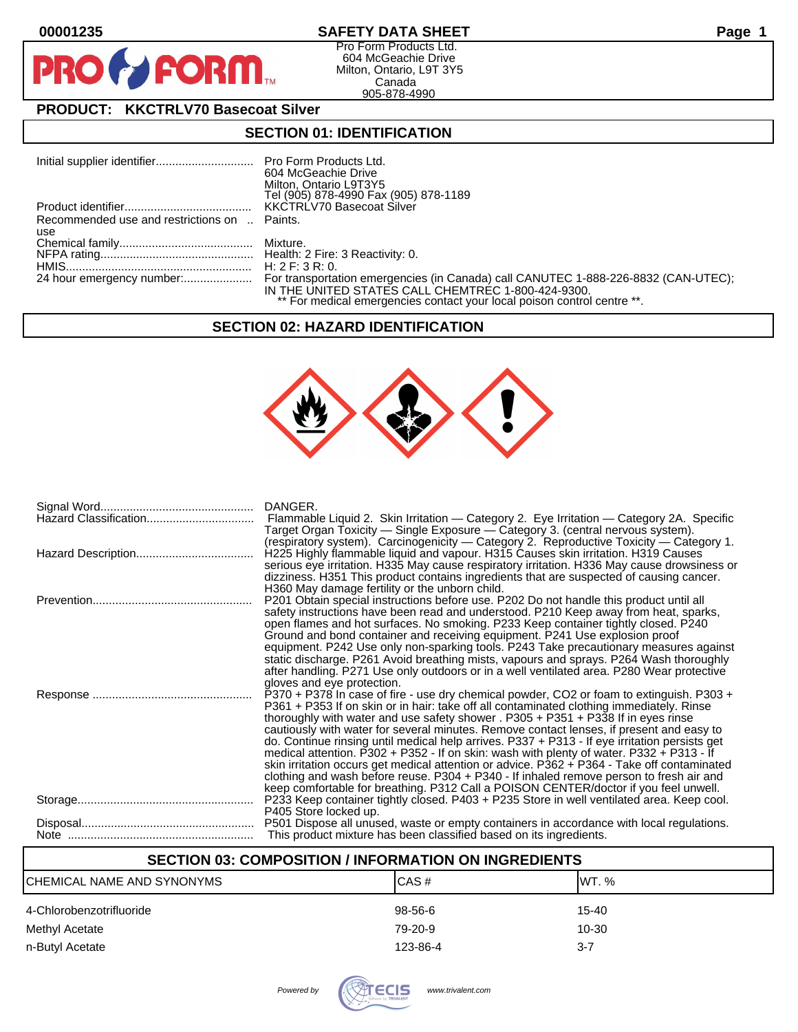$\mathbf{O}$ 

PR



Pro Form Products Ltd. 604 McGeachie Drive Milton, Ontario, L9T 3Y5 Canada 905-878-4990

# **PRODUCT: KKCTRLV70 Basecoat Silver**

**FORM** 

## **SECTION 01: IDENTIFICATION**

| Initial supplier identifier Pro Form Products Ltd. |                                                                         |
|----------------------------------------------------|-------------------------------------------------------------------------|
|                                                    | 604 McGeachie Drive                                                     |
|                                                    | Milton, Ontario L9T3Y5                                                  |
|                                                    | Tel (905) 878-4990 Fax (905) 878-1189                                   |
|                                                    |                                                                         |
| Recommended use and restrictions on  Paints.       |                                                                         |
| use                                                |                                                                         |
|                                                    |                                                                         |
|                                                    |                                                                         |
|                                                    |                                                                         |
|                                                    |                                                                         |
|                                                    | IN THE UNITED STATES CALL CHEMTREC 1-800-424-9300.                      |
|                                                    | ** For medical emergencies contact your local poison control centre **. |

## **SECTION 02: HAZARD IDENTIFICATION**



| Hazard Classification | DANGER.<br>Flammable Liquid 2. Skin Irritation — Category 2. Eye Irritation — Category 2A. Specific<br>Target Organ Toxicity — Single Exposure — Category 3. (central nervous system).<br>(respiratory system). Carcinogenicity — Category 2. Reproductive Toxicity — Category 1.                                                                                                                                                                                                                                                                                                                                                                                                                                                                                                                                                                    |
|-----------------------|------------------------------------------------------------------------------------------------------------------------------------------------------------------------------------------------------------------------------------------------------------------------------------------------------------------------------------------------------------------------------------------------------------------------------------------------------------------------------------------------------------------------------------------------------------------------------------------------------------------------------------------------------------------------------------------------------------------------------------------------------------------------------------------------------------------------------------------------------|
|                       | H225 Highly flammable liquid and vapour. H315 Causes skin irritation. H319 Causes<br>serious eye irritation. H335 May cause respiratory irritation. H336 May cause drowsiness or<br>dizziness. H351 This product contains ingredients that are suspected of causing cancer.                                                                                                                                                                                                                                                                                                                                                                                                                                                                                                                                                                          |
|                       | H360 May damage fertility or the unborn child.<br>P201 Obtain special instructions before use. P202 Do not handle this product until all<br>safety instructions have been read and understood. P210 Keep away from heat, sparks,<br>open flames and hot surfaces. No smoking. P233 Keep container tightly closed. P240<br>Ground and bond container and receiving equipment. P241 Use explosion proof<br>equipment. P242 Use only non-sparking tools. P243 Take precautionary measures against<br>static discharge. P261 Avoid breathing mists, vapours and sprays. P264 Wash thoroughly<br>after handling. P271 Use only outdoors or in a well ventilated area. P280 Wear protective<br>gloves and eye protection.                                                                                                                                  |
|                       | P370 + P378 In case of fire - use dry chemical powder, CO2 or foam to extinguish. P303 +<br>P361 + P353 If on skin or in hair: take off all contaminated clothing immediately. Rinse<br>thoroughly with water and use safety shower . P305 + P351 + P338 If in eyes rinse<br>cautiously with water for several minutes. Remove contact lenses, if present and easy to<br>do. Continue rinsing until medical help arrives. P337 + P313 - If eye irritation persists get<br>medical attention. P302 + P352 - If on skin: wash with plenty of water. P332 + P313 - If<br>skin irritation occurs get medical attention or advice. P362 + P364 - Take off contaminated<br>clothing and wash before reuse. P304 + P340 - If inhaled remove person to fresh air and<br>keep comfortable for breathing. P312 Call a POISON CENTER/doctor if you feel unwell. |
|                       | P233 Keep container tightly closed. P403 + P235 Store in well ventilated area. Keep cool.<br>P405 Store locked up.                                                                                                                                                                                                                                                                                                                                                                                                                                                                                                                                                                                                                                                                                                                                   |
|                       | P501 Dispose all unused, waste or empty containers in accordance with local regulations.<br>This product mixture has been classified based on its ingredients.                                                                                                                                                                                                                                                                                                                                                                                                                                                                                                                                                                                                                                                                                       |

## **SECTION 03: COMPOSITION / INFORMATION ON INGREDIENTS**

| CHEMICAL NAME AND SYNONYMS | CAS#      | <b>IWT. %</b> |
|----------------------------|-----------|---------------|
| 4-Chlorobenzotrifluoride   | $98-56-6$ | 15-40         |
| Methyl Acetate             | 79-20-9   | 10-30         |
| n-Butyl Acetate            | 123-86-4  | $3 - 7$       |

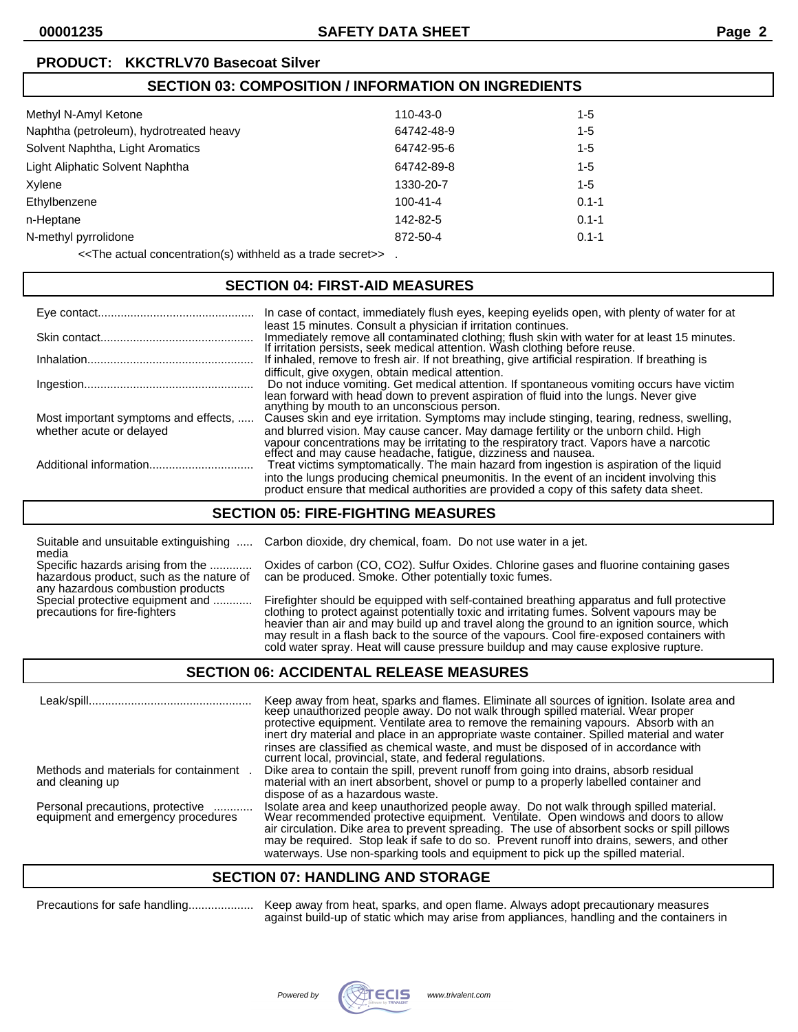## **SECTION 03: COMPOSITION / INFORMATION ON INGREDIENTS**

| 110-43-0       | 1-5       |
|----------------|-----------|
| 64742-48-9     | $1 - 5$   |
| 64742-95-6     | $1 - 5$   |
| 64742-89-8     | $1 - 5$   |
| 1330-20-7      | 1-5       |
| $100 - 41 - 4$ | $0.1 - 1$ |
| 142-82-5       | $0.1 - 1$ |
| 872-50-4       | $0.1 - 1$ |
|                |           |

<<The actual concentration(s) withheld as a trade secret>> .

### **SECTION 04: FIRST-AID MEASURES**

|                                                                  | In case of contact, immediately flush eyes, keeping eyelids open, with plenty of water for at                                                                                                                                                                                                                                                   |
|------------------------------------------------------------------|-------------------------------------------------------------------------------------------------------------------------------------------------------------------------------------------------------------------------------------------------------------------------------------------------------------------------------------------------|
|                                                                  | least 15 minutes. Consult a physician if irritation continues.<br>Immediately remove all contaminated clothing; flush skin with water for at least 15 minutes.<br>If irritation persists, seek medical attention. Wash clothing before reuse.                                                                                                   |
|                                                                  | If inhaled, remove to fresh air. If not breathing, give artificial respiration. If breathing is                                                                                                                                                                                                                                                 |
|                                                                  | difficult, give oxygen, obtain medical attention.<br>Do not induce vomiting. Get medical attention. If spontaneous vomiting occurs have victim<br>lean forward with head down to prevent aspiration of fluid into the lungs. Never give<br>anything by mouth to an unconscious person.                                                          |
| Most important symptoms and effects,<br>whether acute or delayed | Causes skin and eye irritation. Symptoms may include stinging, tearing, redness, swelling,<br>and blurred vision. May cause cancer. May damage fertility or the unborn child. High<br>vapour concentrations may be irritating to the respiratory tract. Vapors have a narcotic<br>effect and may cause headache, fatigue, dizziness and nausea. |
|                                                                  | Treat victims symptomatically. The main hazard from ingestion is aspiration of the liquid<br>into the lungs producing chemical pneumonitis. In the event of an incident involving this<br>product ensure that medical authorities are provided a copy of this safety data sheet.                                                                |

## **SECTION 05: FIRE-FIGHTING MEASURES**

Suitable and unsuitable extinguishing ..... Carbon dioxide, dry chemical, foam. Do not use water in a jet. media

Specific hazards arising from the ............. Oxides of carbon (CO, CO2). Sulfur Oxides. Chlorine gases and fluorine containing gases hazardous product, such as the nature of can be produced. Smoke. Other potentially toxic fumes. any hazardous combustion products<br>Special protective equipment and ............

Special protective equipment and ............ Firefighter should be equipped with self-contained breathing apparatus and full protective<br>precautions for fire-fighters on an electhing to protect against potentially toxic an clothing to protect against potentially toxic and irritating fumes. Solvent vapours may be heavier than air and may build up and travel along the ground to an ignition source, which may result in a flash back to the source of the vapours. Cool fire-exposed containers with cold water spray. Heat will cause pressure buildup and may cause explosive rupture.

### **SECTION 06: ACCIDENTAL RELEASE MEASURES**

| Leak/spill.                                                            | Keep away from heat, sparks and flames. Eliminate all sources of ignition. Isolate area and<br>keep unauthorized people away. Do not walk through spilled material. Wear proper<br>protective equipment. Ventilate area to remove the remaining vapours. Absorb with an<br>inert dry material and place in an appropriate waste container. Spilled material and water<br>rinses are classified as chemical waste, and must be disposed of in accordance with<br>current local, provincial, state, and federal regulations. |
|------------------------------------------------------------------------|----------------------------------------------------------------------------------------------------------------------------------------------------------------------------------------------------------------------------------------------------------------------------------------------------------------------------------------------------------------------------------------------------------------------------------------------------------------------------------------------------------------------------|
| Methods and materials for containment<br>and cleaning up               | Dike area to contain the spill, prevent runoff from going into drains, absorb residual<br>material with an inert absorbent, shovel or pump to a properly labelled container and<br>dispose of as a hazardous waste.                                                                                                                                                                                                                                                                                                        |
| Personal precautions, protective<br>equipment and emergency procedures | Isolate area and keep unauthorized people away. Do not walk through spilled material.<br>Wear recommended protective equipment. Ventilate. Open windows and doors to allow<br>air circulation. Dike area to prevent spreading. The use of absorbent socks or spill pillows<br>may be required. Stop leak if safe to do so. Prevent runoff into drains, sewers, and other<br>waterways. Use non-sparking tools and equipment to pick up the spilled material.                                                               |

### **SECTION 07: HANDLING AND STORAGE**

Precautions for safe handling.................... Keep away from heat, sparks, and open flame. Always adopt precautionary measures against build-up of static which may arise from appliances, handling and the containers in

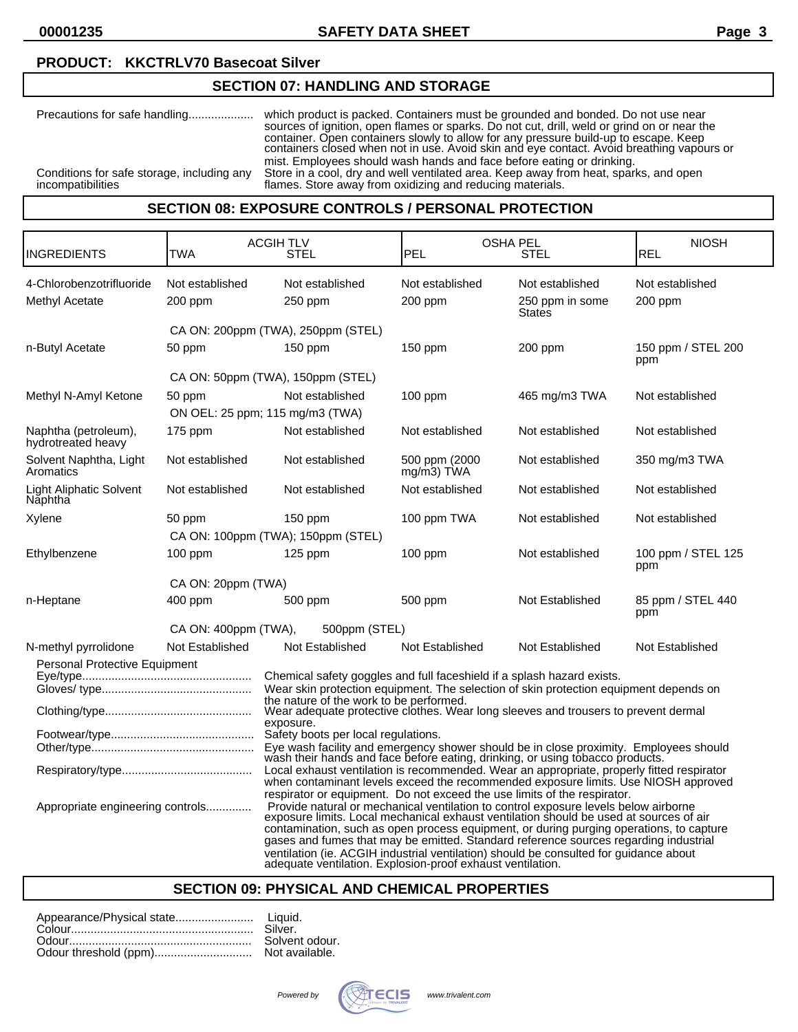# **SECTION 07: HANDLING AND STORAGE**

| Precautions for safe handling                                   | which product is packed. Containers must be grounded and bonded. Do not use near<br>sources of ignition, open flames or sparks. Do not cut, drill, weld or grind on or near the<br>container. Open containers slowly to allow for any pressure build-up to escape. Keep<br>containers closed when not in use. Avoid skin and eye contact. Avoid breathing vapours or<br>mist. Employees should wash hands and face before eating or drinking. |
|-----------------------------------------------------------------|-----------------------------------------------------------------------------------------------------------------------------------------------------------------------------------------------------------------------------------------------------------------------------------------------------------------------------------------------------------------------------------------------------------------------------------------------|
| Conditions for safe storage, including any<br>incompatibilities | Store in a cool, dry and well ventilated area. Keep away from heat, sparks, and open<br>flames. Store away from oxidizing and reducing materials.                                                                                                                                                                                                                                                                                             |
|                                                                 |                                                                                                                                                                                                                                                                                                                                                                                                                                               |

## **SECTION 08: EXPOSURE CONTROLS / PERSONAL PROTECTION**

| INGREDIENTS                                                                                                                                                                                                                                                                                                                                                                                                                                                                                                                                                                                                                                                                                                                   | TWA                                       | <b>ACGIH TLV</b><br>STEL                                                                                                                                                                                                                                                                                                                                                                                                                                                                                                                                                                                                 | PEL                         | <b>OSHA PEL</b><br><b>STEL</b>                      | <b>NIOSH</b><br><b>REL</b> |
|-------------------------------------------------------------------------------------------------------------------------------------------------------------------------------------------------------------------------------------------------------------------------------------------------------------------------------------------------------------------------------------------------------------------------------------------------------------------------------------------------------------------------------------------------------------------------------------------------------------------------------------------------------------------------------------------------------------------------------|-------------------------------------------|--------------------------------------------------------------------------------------------------------------------------------------------------------------------------------------------------------------------------------------------------------------------------------------------------------------------------------------------------------------------------------------------------------------------------------------------------------------------------------------------------------------------------------------------------------------------------------------------------------------------------|-----------------------------|-----------------------------------------------------|----------------------------|
| 4-Chlorobenzotrifluoride<br>Methyl Acetate                                                                                                                                                                                                                                                                                                                                                                                                                                                                                                                                                                                                                                                                                    | Not established<br>200 ppm                | Not established<br>250 ppm                                                                                                                                                                                                                                                                                                                                                                                                                                                                                                                                                                                               | Not established<br>200 ppm  | Not established<br>250 ppm in some<br><b>States</b> | Not established<br>200 ppm |
|                                                                                                                                                                                                                                                                                                                                                                                                                                                                                                                                                                                                                                                                                                                               |                                           | CA ON: 200ppm (TWA), 250ppm (STEL)                                                                                                                                                                                                                                                                                                                                                                                                                                                                                                                                                                                       |                             |                                                     |                            |
| n-Butyl Acetate                                                                                                                                                                                                                                                                                                                                                                                                                                                                                                                                                                                                                                                                                                               | 50 ppm                                    | $150$ ppm                                                                                                                                                                                                                                                                                                                                                                                                                                                                                                                                                                                                                | $150$ ppm                   | 200 ppm                                             | 150 ppm / STEL 200<br>ppm  |
|                                                                                                                                                                                                                                                                                                                                                                                                                                                                                                                                                                                                                                                                                                                               |                                           | CA ON: 50ppm (TWA), 150ppm (STEL)                                                                                                                                                                                                                                                                                                                                                                                                                                                                                                                                                                                        |                             |                                                     |                            |
| Methyl N-Amyl Ketone                                                                                                                                                                                                                                                                                                                                                                                                                                                                                                                                                                                                                                                                                                          | 50 ppm<br>ON OEL: 25 ppm; 115 mg/m3 (TWA) | Not established                                                                                                                                                                                                                                                                                                                                                                                                                                                                                                                                                                                                          | 100 ppm                     | 465 mg/m3 TWA                                       | Not established            |
| Naphtha (petroleum),<br>hydrotreated heavy                                                                                                                                                                                                                                                                                                                                                                                                                                                                                                                                                                                                                                                                                    | 175 ppm                                   | Not established                                                                                                                                                                                                                                                                                                                                                                                                                                                                                                                                                                                                          | Not established             | Not established                                     | Not established            |
| Solvent Naphtha, Light<br>Aromatics                                                                                                                                                                                                                                                                                                                                                                                                                                                                                                                                                                                                                                                                                           | Not established                           | Not established                                                                                                                                                                                                                                                                                                                                                                                                                                                                                                                                                                                                          | 500 ppm (2000<br>mg/m3) TWA | Not established                                     | 350 mg/m3 TWA              |
| <b>Light Aliphatic Solvent</b><br>Năphtha                                                                                                                                                                                                                                                                                                                                                                                                                                                                                                                                                                                                                                                                                     | Not established                           | Not established                                                                                                                                                                                                                                                                                                                                                                                                                                                                                                                                                                                                          | Not established             | Not established                                     | Not established            |
| Xylene                                                                                                                                                                                                                                                                                                                                                                                                                                                                                                                                                                                                                                                                                                                        | 50 ppm                                    | $150$ ppm                                                                                                                                                                                                                                                                                                                                                                                                                                                                                                                                                                                                                | 100 ppm TWA                 | Not established                                     | Not established            |
|                                                                                                                                                                                                                                                                                                                                                                                                                                                                                                                                                                                                                                                                                                                               |                                           | CA ON: 100ppm (TWA); 150ppm (STEL)                                                                                                                                                                                                                                                                                                                                                                                                                                                                                                                                                                                       |                             |                                                     |                            |
| Ethylbenzene                                                                                                                                                                                                                                                                                                                                                                                                                                                                                                                                                                                                                                                                                                                  | 100 ppm                                   | 125 ppm                                                                                                                                                                                                                                                                                                                                                                                                                                                                                                                                                                                                                  | 100 ppm                     | Not established                                     | 100 ppm / STEL 125<br>ppm  |
|                                                                                                                                                                                                                                                                                                                                                                                                                                                                                                                                                                                                                                                                                                                               | CA ON: 20ppm (TWA)                        |                                                                                                                                                                                                                                                                                                                                                                                                                                                                                                                                                                                                                          |                             |                                                     |                            |
| n-Heptane                                                                                                                                                                                                                                                                                                                                                                                                                                                                                                                                                                                                                                                                                                                     | 400 ppm                                   | 500 ppm                                                                                                                                                                                                                                                                                                                                                                                                                                                                                                                                                                                                                  | 500 ppm                     | Not Established                                     | 85 ppm / STEL 440<br>ppm   |
|                                                                                                                                                                                                                                                                                                                                                                                                                                                                                                                                                                                                                                                                                                                               | CA ON: 400ppm (TWA),                      | 500ppm (STEL)                                                                                                                                                                                                                                                                                                                                                                                                                                                                                                                                                                                                            |                             |                                                     |                            |
| N-methyl pyrrolidone                                                                                                                                                                                                                                                                                                                                                                                                                                                                                                                                                                                                                                                                                                          | Not Established                           | Not Established                                                                                                                                                                                                                                                                                                                                                                                                                                                                                                                                                                                                          | Not Established             | Not Established                                     | Not Established            |
| Personal Protective Equipment                                                                                                                                                                                                                                                                                                                                                                                                                                                                                                                                                                                                                                                                                                 |                                           | Chemical safety goggles and full faceshield if a splash hazard exists.<br>Wear skin protection equipment. The selection of skin protection equipment depends on<br>the nature of the work to be performed.<br>Wear adequate protective clothes. Wear long sleeves and trousers to prevent dermal<br>exposure.<br>Safety boots per local regulations.<br>Eye wash facility and emergency shower should be in close proximity. Employees should wash their hands and face before eating, drinking, or using tobacco products.<br>Local exhaust ventilation is recommended. Wear an appropriate, properly fitted respirator |                             |                                                     |                            |
| when contaminant levels exceed the recommended exposure limits. Use NIOSH approved<br>respirator or equipment. Do not exceed the use limits of the respirator.<br>Provide natural or mechanical ventilation to control exposure levels below airborne<br>Appropriate engineering controls<br>exposure limits. Local mechanical exhaust ventilation should be used at sources of air<br>contamination, such as open process equipment, or during purging operations, to capture<br>gases and fumes that may be emitted. Standard reference sources regarding industrial<br>ventilation (ie. ACGIH industrial ventilation) should be consulted for guidance about<br>adequate ventilation. Explosion-proof exhaust ventilation. |                                           |                                                                                                                                                                                                                                                                                                                                                                                                                                                                                                                                                                                                                          |                             |                                                     |                            |

## **SECTION 09: PHYSICAL AND CHEMICAL PROPERTIES**

| Silver. |
|---------|
| Solvent |
| Not ava |

t odour. ailable.

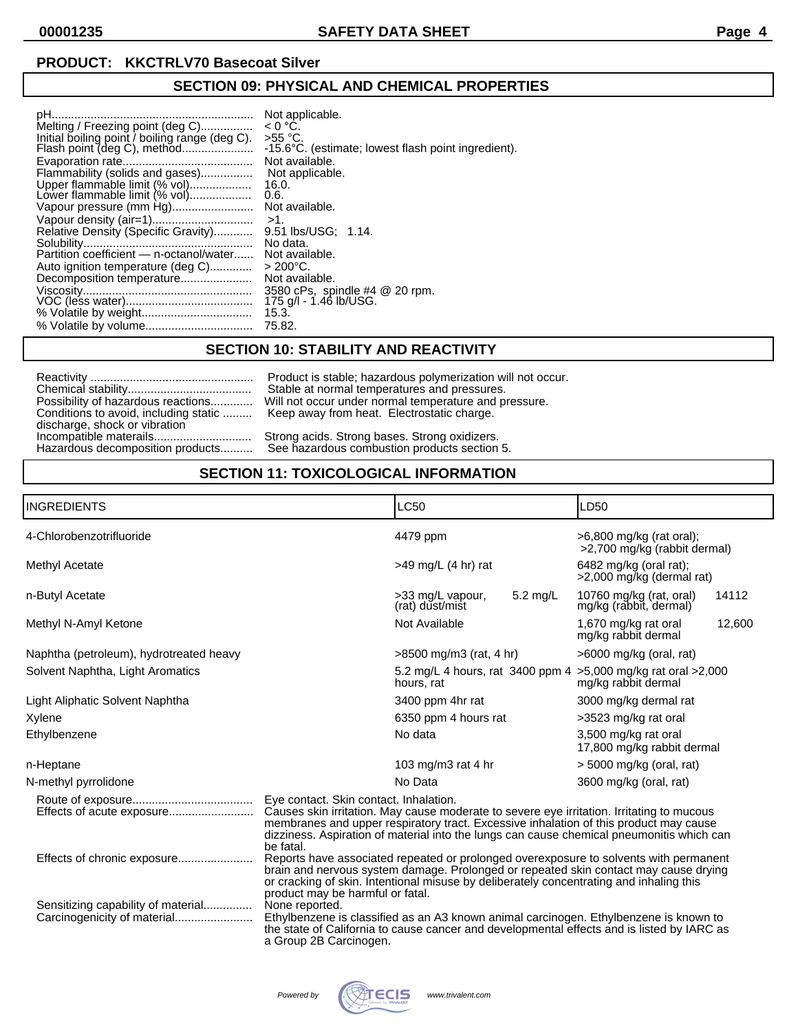# **SECTION 09: PHYSICAL AND CHEMICAL PROPERTIES**

|                                                | Not applicable.                                      |
|------------------------------------------------|------------------------------------------------------|
| Melting / Freezing point (deg C)               | $< 0 °C$ .                                           |
| Initial boiling point / boiling range (deg C). | $>55$ °C.                                            |
|                                                | -15.6 °C. (estimate; lowest flash point ingredient). |
|                                                | Not available.                                       |
| Flammability (solids and gases)                | Not applicable.                                      |
| Upper flammable limit (% vol)                  | 16.0.                                                |
| Lower flammable limit (% vol)                  | 0.6.                                                 |
|                                                | Not available.                                       |
|                                                | $>1$ .                                               |
| Relative Density (Specific Gravity)            | 9.51 lbs/USG: 1.14.                                  |
|                                                | No data.                                             |
|                                                | Not available.                                       |
| Auto ignition temperature (deg C)              | $> 200^{\circ}$ C.                                   |
| Decomposition temperature                      | Not available.                                       |
|                                                | 3580 cPs, spindle #4 @ 20 rpm.                       |
|                                                | 175 g/l - 1.46 lb/USG.                               |
|                                                | 15.3.                                                |
|                                                | 75.82.                                               |

## **SECTION 10: STABILITY AND REACTIVITY**

|                                    | Product is stable; hazardous polymerization will not occur.                       |
|------------------------------------|-----------------------------------------------------------------------------------|
|                                    | Stable at normal temperatures and pressures.                                      |
| Possibility of hazardous reactions | Will not occur under normal temperature and pressure.                             |
| discharge, shock or vibration      | Conditions to avoid, including static  Keep away from heat. Electrostatic charge. |
|                                    | Strong acids. Strong bases. Strong oxidizers.                                     |
| Hazardous decomposition products   | See hazardous combustion products section 5.                                      |

# **SECTION 11: TOXICOLOGICAL INFORMATION**

| <b>INGREDIENTS</b>                      |                                                                                                                                                                                                                                                                                                                           | <b>LC50</b>                                    |          | LD <sub>50</sub>                                         |        |
|-----------------------------------------|---------------------------------------------------------------------------------------------------------------------------------------------------------------------------------------------------------------------------------------------------------------------------------------------------------------------------|------------------------------------------------|----------|----------------------------------------------------------|--------|
| 4-Chlorobenzotrifluoride                |                                                                                                                                                                                                                                                                                                                           | 4479 ppm                                       |          | >6,800 mg/kg (rat oral);<br>>2,700 mg/kg (rabbit dermal) |        |
| Methyl Acetate                          |                                                                                                                                                                                                                                                                                                                           | $>49$ mg/L (4 hr) rat                          |          | 6482 mg/kg (oral rat);<br>>2,000 mg/kg (dermal rat)      |        |
| n-Butyl Acetate                         |                                                                                                                                                                                                                                                                                                                           | >33 mg/L vapour,<br>(rat) dust/mist            | 5.2 mg/L | 10760 mg/kg (rat, oral)<br>mg/kg (rabbit, dermal)        | 14112  |
| Methyl N-Amyl Ketone                    |                                                                                                                                                                                                                                                                                                                           | Not Available                                  |          | 1,670 mg/kg rat oral<br>mg/kg rabbit dermal              | 12,600 |
| Naphtha (petroleum), hydrotreated heavy |                                                                                                                                                                                                                                                                                                                           | $>8500$ mg/m3 (rat, 4 hr)                      |          | $>6000$ mg/kg (oral, rat)                                |        |
| Solvent Naphtha, Light Aromatics        |                                                                                                                                                                                                                                                                                                                           | 5.2 mg/L 4 hours, rat 3400 ppm 4<br>hours, rat |          | >5,000 mg/kg rat oral >2,000<br>mg/kg rabbit dermal      |        |
| Light Aliphatic Solvent Naphtha         |                                                                                                                                                                                                                                                                                                                           | 3400 ppm 4hr rat                               |          | 3000 mg/kg dermal rat                                    |        |
| Xylene                                  |                                                                                                                                                                                                                                                                                                                           | 6350 ppm 4 hours rat                           |          | >3523 mg/kg rat oral                                     |        |
| Ethylbenzene                            |                                                                                                                                                                                                                                                                                                                           | No data                                        |          | 3,500 mg/kg rat oral<br>17,800 mg/kg rabbit dermal       |        |
| n-Heptane                               |                                                                                                                                                                                                                                                                                                                           | 103 mg/m3 rat 4 hr                             |          | $>$ 5000 mg/kg (oral, rat)                               |        |
| N-methyl pyrrolidone                    |                                                                                                                                                                                                                                                                                                                           | No Data                                        |          | 3600 mg/kg (oral, rat)                                   |        |
|                                         | Eye contact. Skin contact. Inhalation.<br>Causes skin irritation. May cause moderate to severe eye irritation. Irritating to mucous<br>membranes and upper respiratory tract. Excessive inhalation of this product may cause<br>dizziness. Aspiration of material into the lungs can cause chemical pneumonitis which can |                                                |          |                                                          |        |
| Effects of chronic exposure             | be fatal.<br>Reports have associated repeated or prolonged overexposure to solvents with permanent<br>brain and nervous system damage. Prolonged or repeated skin contact may cause drying<br>or cracking of skin. Intentional misuse by deliberately concentrating and inhaling this<br>product may be harmful or fatal. |                                                |          |                                                          |        |
| Sensitizing capability of material      | None reported.<br>Ethylbenzene is classified as an A3 known animal carcinogen. Ethylbenzene is known to<br>the state of California to cause cancer and developmental effects and is listed by IARC as<br>a Group 2B Carcinogen.                                                                                           |                                                |          |                                                          |        |